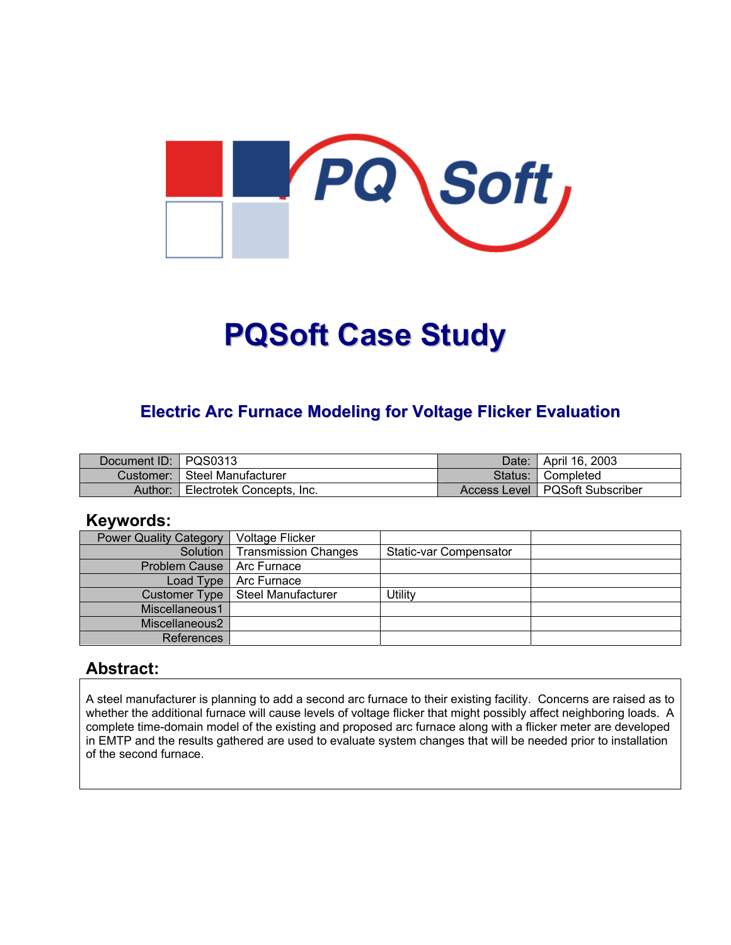

# **PQSoft Case Study**

# **Electric Arc Furnace Modeling for Voltage Flicker Evaluation**

| Document ID: PQS0313 |                           | Date: | April 16, 2003                   |
|----------------------|---------------------------|-------|----------------------------------|
| Customer: I          | Steel Manufacturer        |       | Status: Completed                |
| Author:              | Electrotek Concepts, Inc. |       | Access Level   PQSoft Subscriber |

# **Keywords:**

| <b>Power Quality Category</b> | Voltage Flicker             |                        |  |
|-------------------------------|-----------------------------|------------------------|--|
| Solution                      | <b>Transmission Changes</b> | Static-var Compensator |  |
| <b>Problem Cause</b>          | Arc Furnace                 |                        |  |
| Load Type                     | Arc Furnace                 |                        |  |
| Customer Type                 | Steel Manufacturer          | <b>Jtility</b>         |  |
| Miscellaneous1                |                             |                        |  |
| Miscellaneous2                |                             |                        |  |
| References                    |                             |                        |  |

# **Abstract:**

A steel manufacturer is planning to add a second arc furnace to their existing facility. Concerns are raised as to whether the additional furnace will cause levels of voltage flicker that might possibly affect neighboring loads. A complete time-domain model of the existing and proposed arc furnace along with a flicker meter are developed in EMTP and the results gathered are used to evaluate system changes that will be needed prior to installation of the second furnace.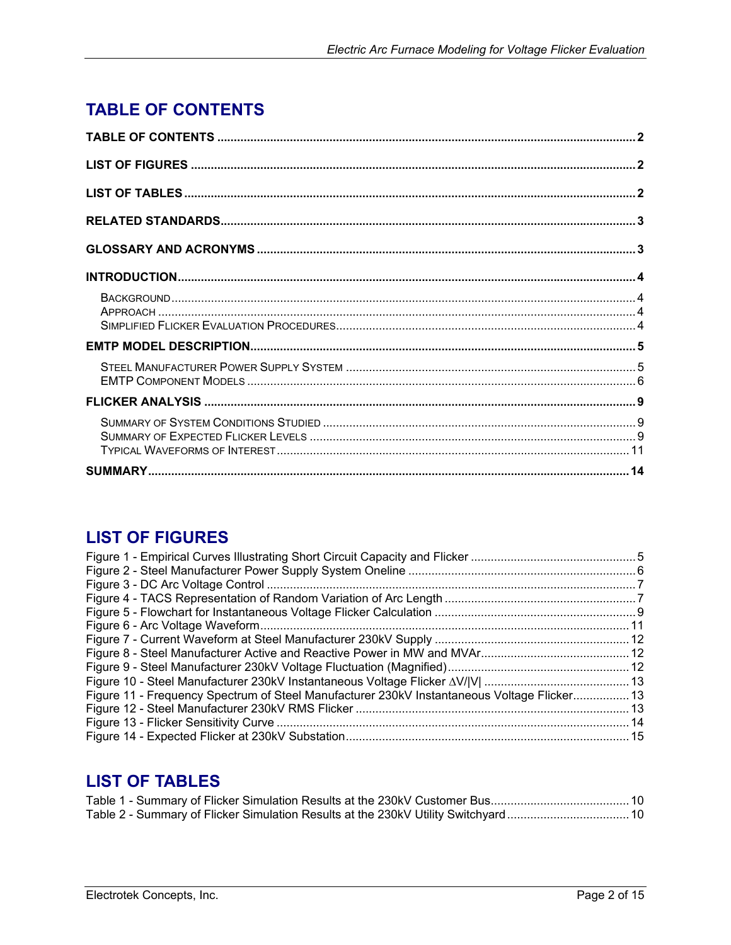# <span id="page-1-0"></span>**TABLE OF CONTENTS**

# **LIST OF FIGURES**

| Figure 11 - Frequency Spectrum of Steel Manufacturer 230kV Instantaneous Voltage Flicker 13 |  |
|---------------------------------------------------------------------------------------------|--|
|                                                                                             |  |
|                                                                                             |  |
|                                                                                             |  |

# **LIST OF TABLES**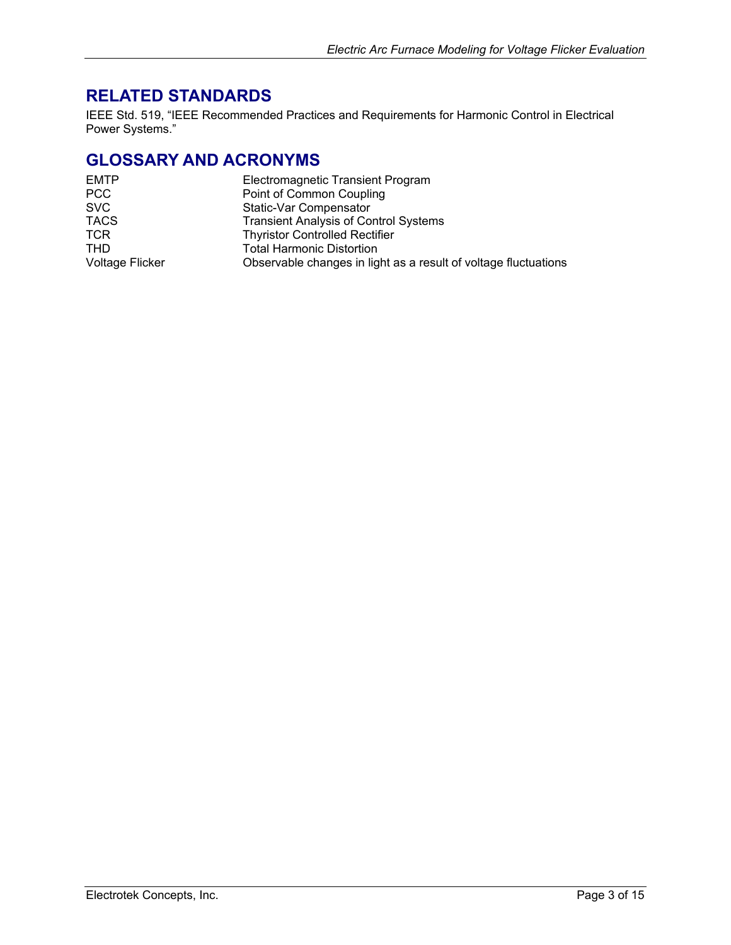# <span id="page-2-0"></span>**RELATED STANDARDS**

IEEE Std. 519, "IEEE Recommended Practices and Requirements for Harmonic Control in Electrical Power Systems."

# **GLOSSARY AND ACRONYMS**

| <b>EMTP</b>            | Electromagnetic Transient Program                               |
|------------------------|-----------------------------------------------------------------|
| <b>PCC</b>             | Point of Common Coupling                                        |
| <b>SVC</b>             | Static-Var Compensator                                          |
| <b>TACS</b>            | <b>Transient Analysis of Control Systems</b>                    |
| <b>TCR</b>             | <b>Thyristor Controlled Rectifier</b>                           |
| <b>THD</b>             | <b>Total Harmonic Distortion</b>                                |
| <b>Voltage Flicker</b> | Observable changes in light as a result of voltage fluctuations |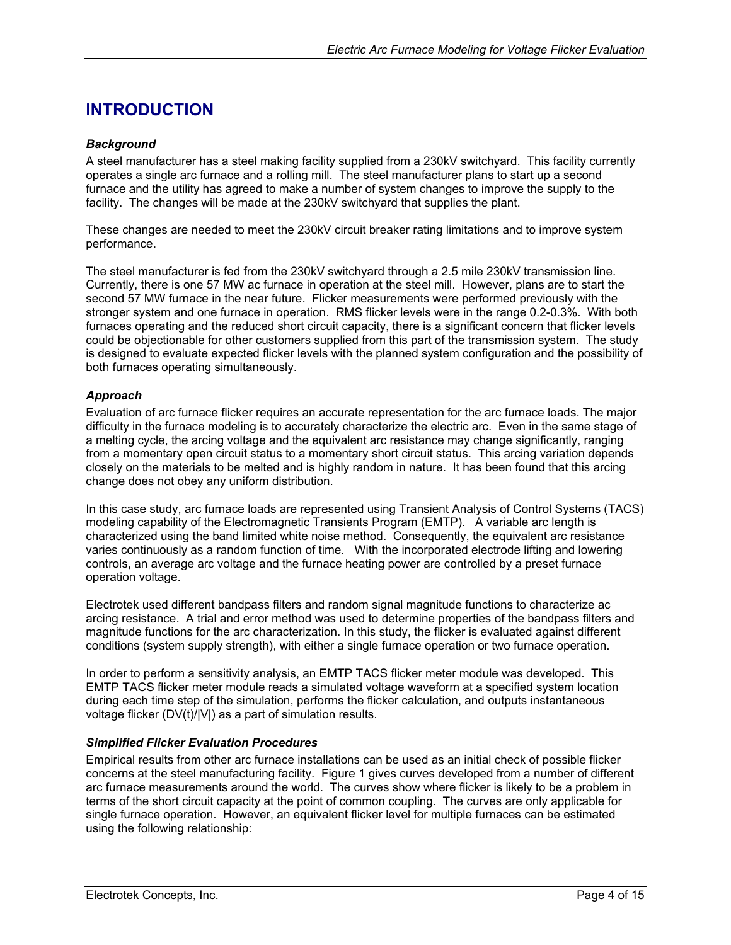# <span id="page-3-0"></span>**INTRODUCTION**

## *Background*

A steel manufacturer has a steel making facility supplied from a 230kV switchyard. This facility currently operates a single arc furnace and a rolling mill. The steel manufacturer plans to start up a second furnace and the utility has agreed to make a number of system changes to improve the supply to the facility. The changes will be made at the 230kV switchyard that supplies the plant.

These changes are needed to meet the 230kV circuit breaker rating limitations and to improve system performance.

The steel manufacturer is fed from the 230kV switchyard through a 2.5 mile 230kV transmission line. Currently, there is one 57 MW ac furnace in operation at the steel mill. However, plans are to start the second 57 MW furnace in the near future. Flicker measurements were performed previously with the stronger system and one furnace in operation. RMS flicker levels were in the range 0.2-0.3%. With both furnaces operating and the reduced short circuit capacity, there is a significant concern that flicker levels could be objectionable for other customers supplied from this part of the transmission system. The study is designed to evaluate expected flicker levels with the planned system configuration and the possibility of both furnaces operating simultaneously.

#### *Approach*

Evaluation of arc furnace flicker requires an accurate representation for the arc furnace loads. The major difficulty in the furnace modeling is to accurately characterize the electric arc. Even in the same stage of a melting cycle, the arcing voltage and the equivalent arc resistance may change significantly, ranging from a momentary open circuit status to a momentary short circuit status. This arcing variation depends closely on the materials to be melted and is highly random in nature. It has been found that this arcing change does not obey any uniform distribution.

In this case study, arc furnace loads are represented using Transient Analysis of Control Systems (TACS) modeling capability of the Electromagnetic Transients Program (EMTP). A variable arc length is characterized using the band limited white noise method. Consequently, the equivalent arc resistance varies continuously as a random function of time. With the incorporated electrode lifting and lowering controls, an average arc voltage and the furnace heating power are controlled by a preset furnace operation voltage.

Electrotek used different bandpass filters and random signal magnitude functions to characterize ac arcing resistance. A trial and error method was used to determine properties of the bandpass filters and magnitude functions for the arc characterization. In this study, the flicker is evaluated against different conditions (system supply strength), with either a single furnace operation or two furnace operation.

In order to perform a sensitivity analysis, an EMTP TACS flicker meter module was developed. This EMTP TACS flicker meter module reads a simulated voltage waveform at a specified system location during each time step of the simulation, performs the flicker calculation, and outputs instantaneous voltage flicker (DV(t)/|V|) as a part of simulation results.

## *Simplified Flicker Evaluation Procedures*

Empirical results from other arc furnace installations can be used as an initial check of possible flicker concerns at the steel manufacturing facility. Figure 1 gives curves developed from a number of different arc furnace measurements around the world. The curves show where flicker is likely to be a problem in terms of the short circuit capacity at the point of common coupling. The curves are only applicable for single furnace operation. However, an equivalent flicker level for multiple furnaces can be estimated using the following relationship: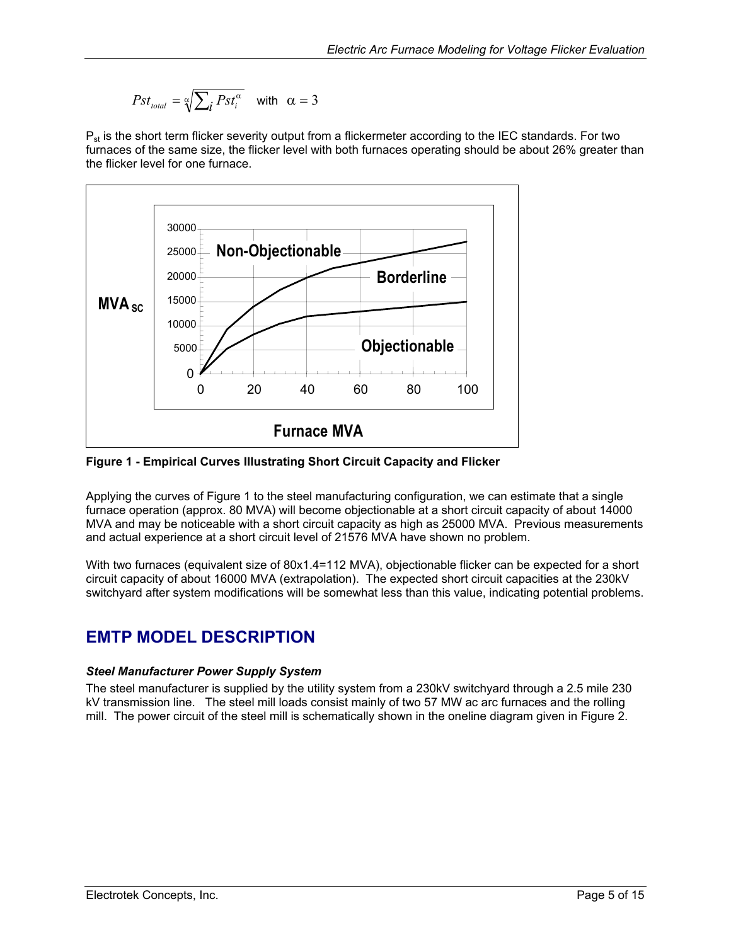$$
Pst_{\text{total}} = \sqrt[\alpha]{\sum_{i} Pst_i^{\alpha}} \quad \text{with} \quad \alpha = 3
$$

<span id="page-4-0"></span> $P_{st}$  is the short term flicker severity output from a flickermeter according to the IEC standards. For two furnaces of the same size, the flicker level with both furnaces operating should be about 26% greater than the flicker level for one furnace.

<span id="page-4-1"></span>

**Figure 1 - Empirical Curves Illustrating Short Circuit Capacity and Flicker** 

Applying the curves of [Figure](#page-4-1) 1 to the steel manufacturing configuration, we can estimate that a single furnace operation (approx. 80 MVA) will become objectionable at a short circuit capacity of about 14000 MVA and may be noticeable with a short circuit capacity as high as 25000 MVA. Previous measurements and actual experience at a short circuit level of 21576 MVA have shown no problem.

With two furnaces (equivalent size of 80x1.4=112 MVA), objectionable flicker can be expected for a short circuit capacity of about 16000 MVA (extrapolation). The expected short circuit capacities at the 230kV switchyard after system modifications will be somewhat less than this value, indicating potential problems.

# **EMTP MODEL DESCRIPTION**

# *Steel Manufacturer Power Supply System*

The steel manufacturer is supplied by the utility system from a 230kV switchyard through a 2.5 mile 230 kV transmission line. The steel mill loads consist mainly of two 57 MW ac arc furnaces and the rolling mill. The power circuit of the steel mill is schematically shown in the oneline diagram given in [Figure 2.](#page-5-1)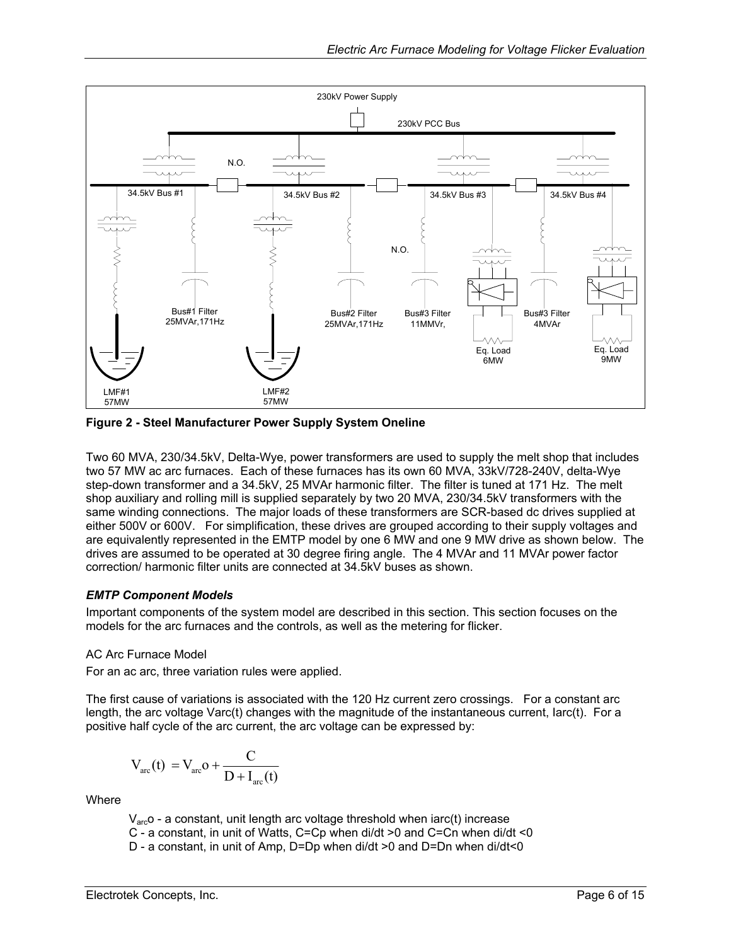<span id="page-5-1"></span><span id="page-5-0"></span>

**Figure 2 - Steel Manufacturer Power Supply System Oneline** 

Two 60 MVA, 230/34.5kV, Delta-Wye, power transformers are used to supply the melt shop that includes two 57 MW ac arc furnaces. Each of these furnaces has its own 60 MVA, 33kV/728-240V, delta-Wye step-down transformer and a 34.5kV, 25 MVAr harmonic filter. The filter is tuned at 171 Hz. The melt shop auxiliary and rolling mill is supplied separately by two 20 MVA, 230/34.5kV transformers with the same winding connections. The major loads of these transformers are SCR-based dc drives supplied at either 500V or 600V. For simplification, these drives are grouped according to their supply voltages and are equivalently represented in the EMTP model by one 6 MW and one 9 MW drive as shown below. The drives are assumed to be operated at 30 degree firing angle. The 4 MVAr and 11 MVAr power factor correction/ harmonic filter units are connected at 34.5kV buses as shown.

## *EMTP Component Models*

Important components of the system model are described in this section. This section focuses on the models for the arc furnaces and the controls, as well as the metering for flicker.

## AC Arc Furnace Model

For an ac arc, three variation rules were applied.

The first cause of variations is associated with the 120 Hz current zero crossings. For a constant arc length, the arc voltage Varc(t) changes with the magnitude of the instantaneous current, Iarc(t). For a positive half cycle of the arc current, the arc voltage can be expressed by:

$$
V_{\text{arc}}(t) = V_{\text{arc}}o + \frac{C}{D + I_{\text{arc}}(t)}
$$

Where

 $V_{\text{arc}}$ o - a constant, unit length arc voltage threshold when iarc(t) increase

C - a constant, in unit of Watts, C=Cp when di/dt >0 and C=Cn when di/dt <0

D - a constant, in unit of Amp, D=Dp when di/dt >0 and D=Dn when di/dt<0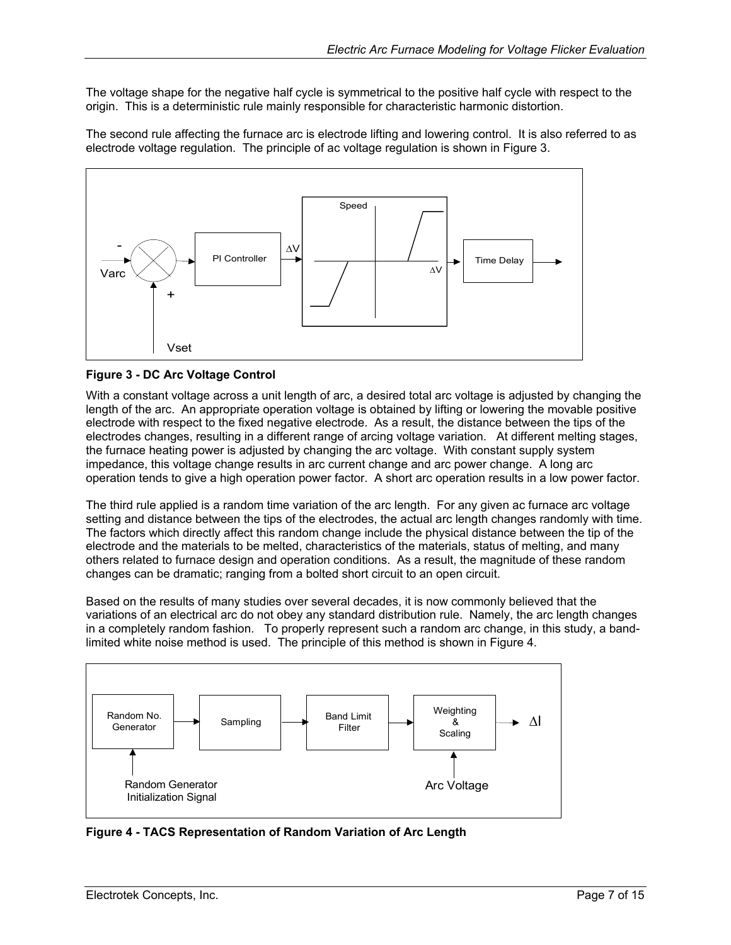<span id="page-6-0"></span>The voltage shape for the negative half cycle is symmetrical to the positive half cycle with respect to the origin. This is a deterministic rule mainly responsible for characteristic harmonic distortion.

The second rule affecting the furnace arc is electrode lifting and lowering control. It is also referred to as electrode voltage regulation. The principle of ac voltage regulation is shown in [Figure 3.](#page-6-1)

<span id="page-6-1"></span>

## **Figure 3 - DC Arc Voltage Control**

With a constant voltage across a unit length of arc, a desired total arc voltage is adjusted by changing the length of the arc. An appropriate operation voltage is obtained by lifting or lowering the movable positive electrode with respect to the fixed negative electrode. As a result, the distance between the tips of the electrodes changes, resulting in a different range of arcing voltage variation. At different melting stages, the furnace heating power is adjusted by changing the arc voltage. With constant supply system impedance, this voltage change results in arc current change and arc power change. A long arc operation tends to give a high operation power factor. A short arc operation results in a low power factor.

The third rule applied is a random time variation of the arc length. For any given ac furnace arc voltage setting and distance between the tips of the electrodes, the actual arc length changes randomly with time. The factors which directly affect this random change include the physical distance between the tip of the electrode and the materials to be melted, characteristics of the materials, status of melting, and many others related to furnace design and operation conditions. As a result, the magnitude of these random changes can be dramatic; ranging from a bolted short circuit to an open circuit.

Based on the results of many studies over several decades, it is now commonly believed that the variations of an electrical arc do not obey any standard distribution rule. Namely, the arc length changes in a completely random fashion. To properly represent such a random arc change, in this study, a bandlimited white noise method is used. The principle of this method is shown in [Figure 4.](#page-6-2)

<span id="page-6-2"></span>

**Figure 4 - TACS Representation of Random Variation of Arc Length**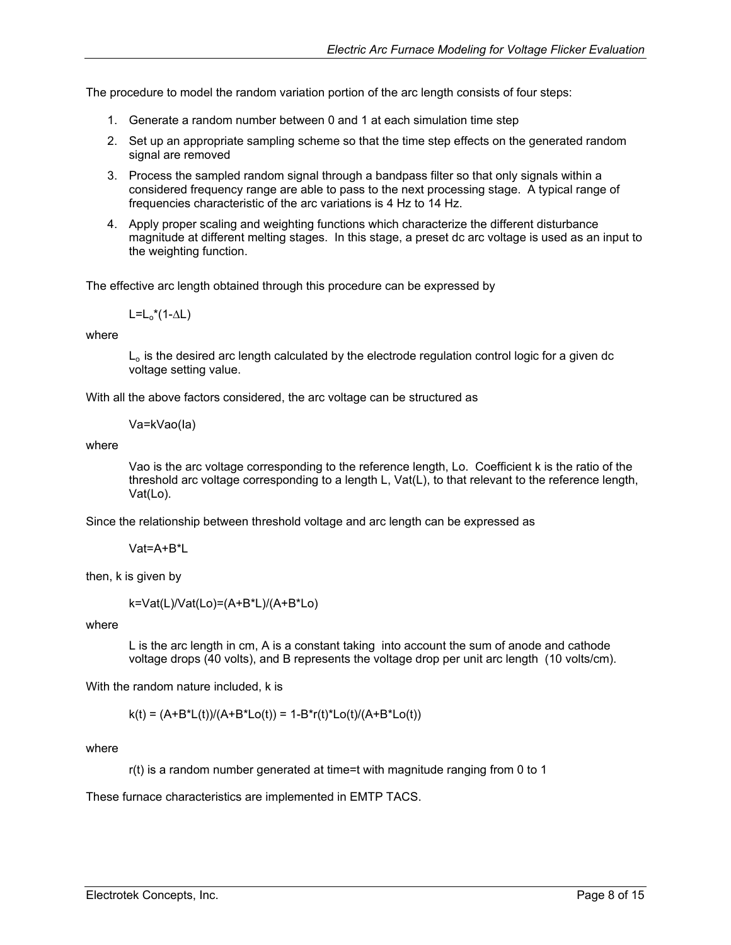The procedure to model the random variation portion of the arc length consists of four steps:

- 1. Generate a random number between 0 and 1 at each simulation time step
- 2. Set up an appropriate sampling scheme so that the time step effects on the generated random signal are removed
- 3. Process the sampled random signal through a bandpass filter so that only signals within a considered frequency range are able to pass to the next processing stage. A typical range of frequencies characteristic of the arc variations is 4 Hz to 14 Hz.
- 4. Apply proper scaling and weighting functions which characterize the different disturbance magnitude at different melting stages. In this stage, a preset dc arc voltage is used as an input to the weighting function.

The effective arc length obtained through this procedure can be expressed by

 $L=L_0^*(1-\Delta L)$ 

where

 $L<sub>o</sub>$  is the desired arc length calculated by the electrode regulation control logic for a given dc voltage setting value.

With all the above factors considered, the arc voltage can be structured as

Va=kVao(Ia)

where

Vao is the arc voltage corresponding to the reference length, Lo. Coefficient k is the ratio of the threshold arc voltage corresponding to a length L, Vat(L), to that relevant to the reference length, Vat(Lo).

Since the relationship between threshold voltage and arc length can be expressed as

Vat=A+B\*L

then, k is given by

k=Vat(L)/Vat(Lo)=(A+B\*L)/(A+B\*Lo)

where

L is the arc length in cm, A is a constant taking into account the sum of anode and cathode voltage drops (40 volts), and B represents the voltage drop per unit arc length (10 volts/cm).

With the random nature included, k is

 $k(t) = (A+B^*L(t))/(A+B^*Lo(t)) = 1-B^*r(t)^*Lo(t)/(A+B^*Lo(t))$ 

where

r(t) is a random number generated at time=t with magnitude ranging from 0 to 1

These furnace characteristics are implemented in EMTP TACS.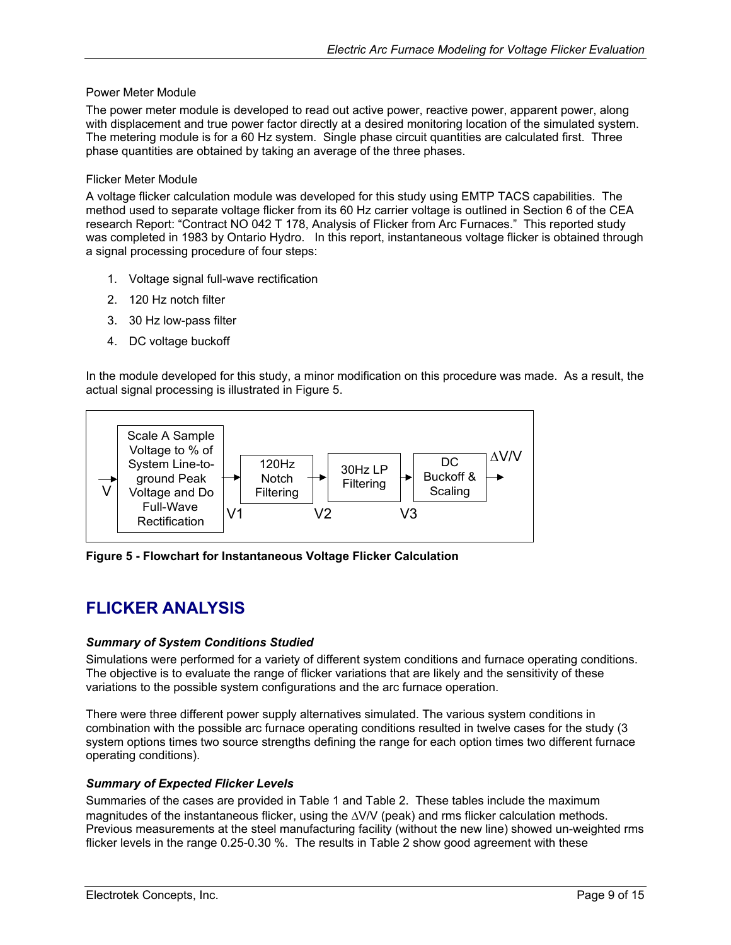### <span id="page-8-0"></span>Power Meter Module

The power meter module is developed to read out active power, reactive power, apparent power, along with displacement and true power factor directly at a desired monitoring location of the simulated system. The metering module is for a 60 Hz system. Single phase circuit quantities are calculated first. Three phase quantities are obtained by taking an average of the three phases.

#### Flicker Meter Module

A voltage flicker calculation module was developed for this study using EMTP TACS capabilities. The method used to separate voltage flicker from its 60 Hz carrier voltage is outlined in Section 6 of the CEA research Report: "Contract NO 042 T 178, Analysis of Flicker from Arc Furnaces." This reported study was completed in 1983 by Ontario Hydro. In this report, instantaneous voltage flicker is obtained through a signal processing procedure of four steps:

- 1. Voltage signal full-wave rectification
- 2. 120 Hz notch filter
- 3. 30 Hz low-pass filter
- 4. DC voltage buckoff

In the module developed for this study, a minor modification on this procedure was made. As a result, the actual signal processing is illustrated in [Figure 5.](#page-8-1)

<span id="page-8-1"></span>

**Figure 5 - Flowchart for Instantaneous Voltage Flicker Calculation** 

# **FLICKER ANALYSIS**

## *Summary of System Conditions Studied*

Simulations were performed for a variety of different system conditions and furnace operating conditions. The objective is to evaluate the range of flicker variations that are likely and the sensitivity of these variations to the possible system configurations and the arc furnace operation.

There were three different power supply alternatives simulated. The various system conditions in combination with the possible arc furnace operating conditions resulted in twelve cases for the study (3 system options times two source strengths defining the range for each option times two different furnace operating conditions).

## *Summary of Expected Flicker Levels*

Summaries of the cases are provided in [Table 1](#page-9-1) and [Table 2.](#page-9-2) These tables include the maximum magnitudes of the instantaneous flicker, using the ∆V/V (peak) and rms flicker calculation methods. Previous measurements at the steel manufacturing facility (without the new line) showed un-weighted rms flicker levels in the range 0.25-0.30 %. The results in [Table](#page-9-2) 2 show good agreement with these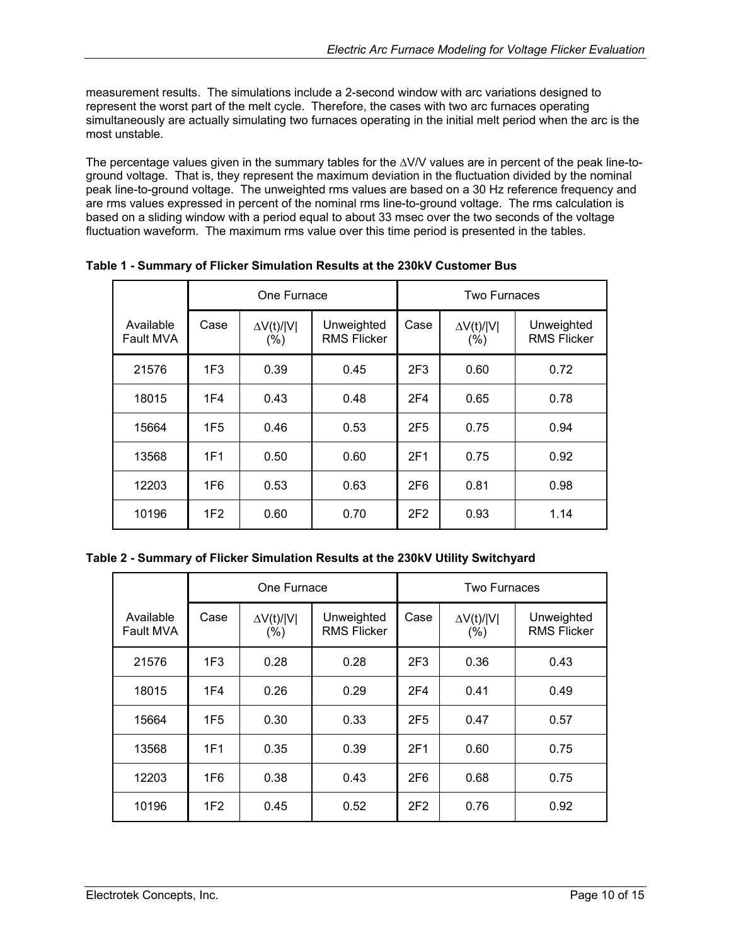<span id="page-9-0"></span>measurement results. The simulations include a 2-second window with arc variations designed to represent the worst part of the melt cycle. Therefore, the cases with two arc furnaces operating simultaneously are actually simulating two furnaces operating in the initial melt period when the arc is the most unstable.

The percentage values given in the summary tables for the ∆V/V values are in percent of the peak line-toground voltage. That is, they represent the maximum deviation in the fluctuation divided by the nominal peak line-to-ground voltage. The unweighted rms values are based on a 30 Hz reference frequency and are rms values expressed in percent of the nominal rms line-to-ground voltage. The rms calculation is based on a sliding window with a period equal to about 33 msec over the two seconds of the voltage fluctuation waveform. The maximum rms value over this time period is presented in the tables.

|                        | One Furnace     |                              |                                  | Two Furnaces    |                              |                                  |
|------------------------|-----------------|------------------------------|----------------------------------|-----------------|------------------------------|----------------------------------|
| Available<br>Fault MVA | Case            | $\Delta V(t)/ V $<br>$(\% )$ | Unweighted<br><b>RMS Flicker</b> | Case            | $\Delta V(t)/ V $<br>$(\% )$ | Unweighted<br><b>RMS Flicker</b> |
| 21576                  | 1F <sub>3</sub> | 0.39                         | 0.45                             | 2F <sub>3</sub> | 0.60                         | 0.72                             |
| 18015                  | 1F4             | 0.43                         | 0.48                             | 2F <sub>4</sub> | 0.65                         | 0.78                             |
| 15664                  | 1F <sub>5</sub> | 0.46                         | 0.53                             | 2F <sub>5</sub> | 0.75                         | 0.94                             |
| 13568                  | 1F1             | 0.50                         | 0.60                             | 2F1             | 0.75                         | 0.92                             |
| 12203                  | 1F6             | 0.53                         | 0.63                             | 2F <sub>6</sub> | 0.81                         | 0.98                             |
| 10196                  | 1F <sub>2</sub> | 0.60                         | 0.70                             | 2F2             | 0.93                         | 1.14                             |

<span id="page-9-1"></span>**Table 1 - Summary of Flicker Simulation Results at the 230kV Customer Bus** 

<span id="page-9-2"></span>

|  | Table 2 - Summary of Flicker Simulation Results at the 230kV Utility Switchyard |
|--|---------------------------------------------------------------------------------|
|--|---------------------------------------------------------------------------------|

|                        | One Furnace     |                              |                                  | <b>Two Furnaces</b> |                           |                                  |
|------------------------|-----------------|------------------------------|----------------------------------|---------------------|---------------------------|----------------------------------|
| Available<br>Fault MVA | Case            | $\Delta V(t)/ V $<br>$(\% )$ | Unweighted<br><b>RMS Flicker</b> | Case                | $\Delta V(t)/ V $<br>(% ) | Unweighted<br><b>RMS Flicker</b> |
| 21576                  | 1F <sub>3</sub> | 0.28                         | 0.28                             | 2F <sub>3</sub>     | 0.36                      | 0.43                             |
| 18015                  | 1F4             | 0.26                         | 0.29                             | 2F <sub>4</sub>     | 0.41                      | 0.49                             |
| 15664                  | 1F <sub>5</sub> | 0.30                         | 0.33                             | 2F <sub>5</sub>     | 0.47                      | 0.57                             |
| 13568                  | 1F1             | 0.35                         | 0.39                             | 2F1                 | 0.60                      | 0.75                             |
| 12203                  | 1F6             | 0.38                         | 0.43                             | 2F <sub>6</sub>     | 0.68                      | 0.75                             |
| 10196                  | 1F <sub>2</sub> | 0.45                         | 0.52                             | 2F2                 | 0.76                      | 0.92                             |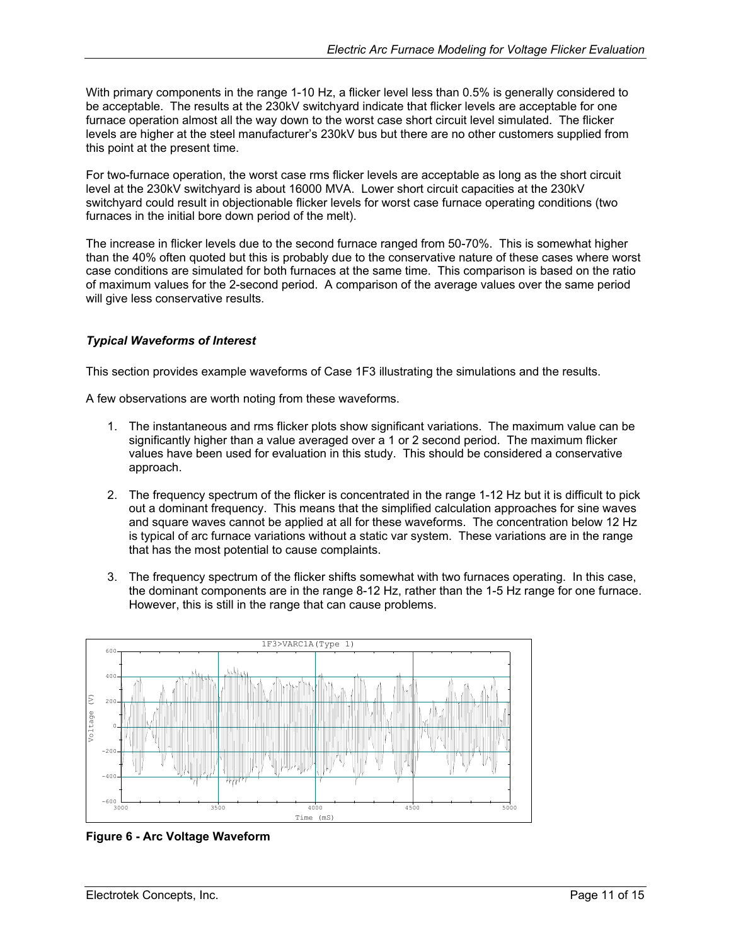<span id="page-10-0"></span>With primary components in the range 1-10 Hz, a flicker level less than 0.5% is generally considered to be acceptable. The results at the 230kV switchyard indicate that flicker levels are acceptable for one furnace operation almost all the way down to the worst case short circuit level simulated. The flicker levels are higher at the steel manufacturer's 230kV bus but there are no other customers supplied from this point at the present time.

For two-furnace operation, the worst case rms flicker levels are acceptable as long as the short circuit level at the 230kV switchyard is about 16000 MVA. Lower short circuit capacities at the 230kV switchyard could result in objectionable flicker levels for worst case furnace operating conditions (two furnaces in the initial bore down period of the melt).

The increase in flicker levels due to the second furnace ranged from 50-70%. This is somewhat higher than the 40% often quoted but this is probably due to the conservative nature of these cases where worst case conditions are simulated for both furnaces at the same time. This comparison is based on the ratio of maximum values for the 2-second period. A comparison of the average values over the same period will give less conservative results.

## *Typical Waveforms of Interest*

This section provides example waveforms of Case 1F3 illustrating the simulations and the results.

A few observations are worth noting from these waveforms.

- 1. The instantaneous and rms flicker plots show significant variations. The maximum value can be significantly higher than a value averaged over a 1 or 2 second period. The maximum flicker values have been used for evaluation in this study. This should be considered a conservative approach.
- 2. The frequency spectrum of the flicker is concentrated in the range 1-12 Hz but it is difficult to pick out a dominant frequency. This means that the simplified calculation approaches for sine waves and square waves cannot be applied at all for these waveforms. The concentration below 12 Hz is typical of arc furnace variations without a static var system. These variations are in the range that has the most potential to cause complaints.
- 3. The frequency spectrum of the flicker shifts somewhat with two furnaces operating. In this case, the dominant components are in the range 8-12 Hz, rather than the 1-5 Hz range for one furnace. However, this is still in the range that can cause problems.



**Figure 6 - Arc Voltage Waveform**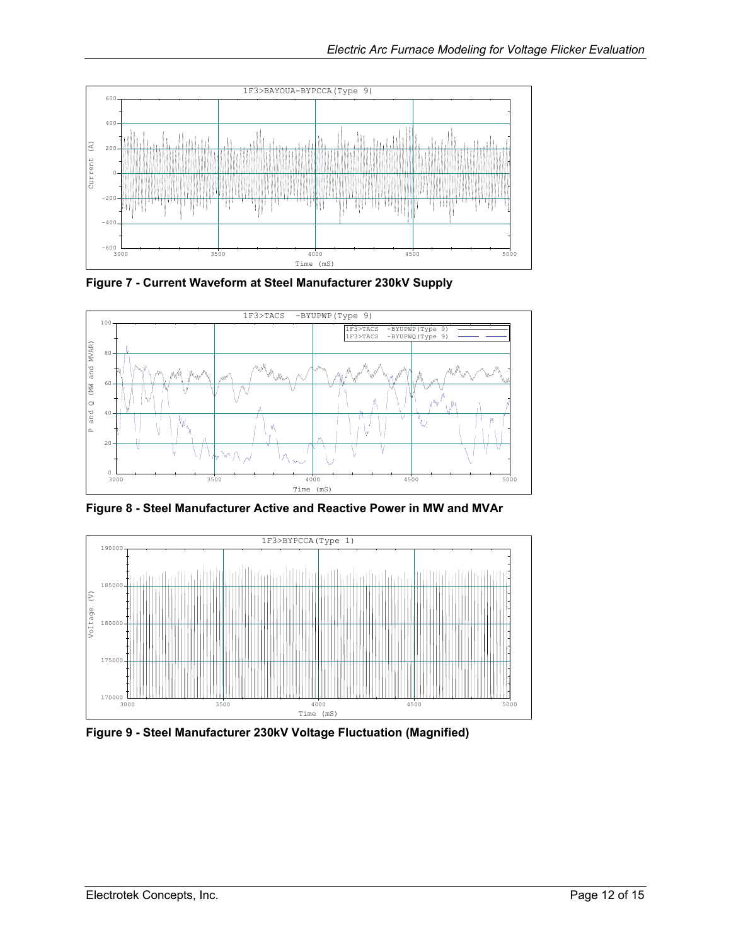<span id="page-11-0"></span>

**Figure 7 - Current Waveform at Steel Manufacturer 230kV Supply**



**Figure 8 - Steel Manufacturer Active and Reactive Power in MW and MVAr** 



**Figure 9 - Steel Manufacturer 230kV Voltage Fluctuation (Magnified)**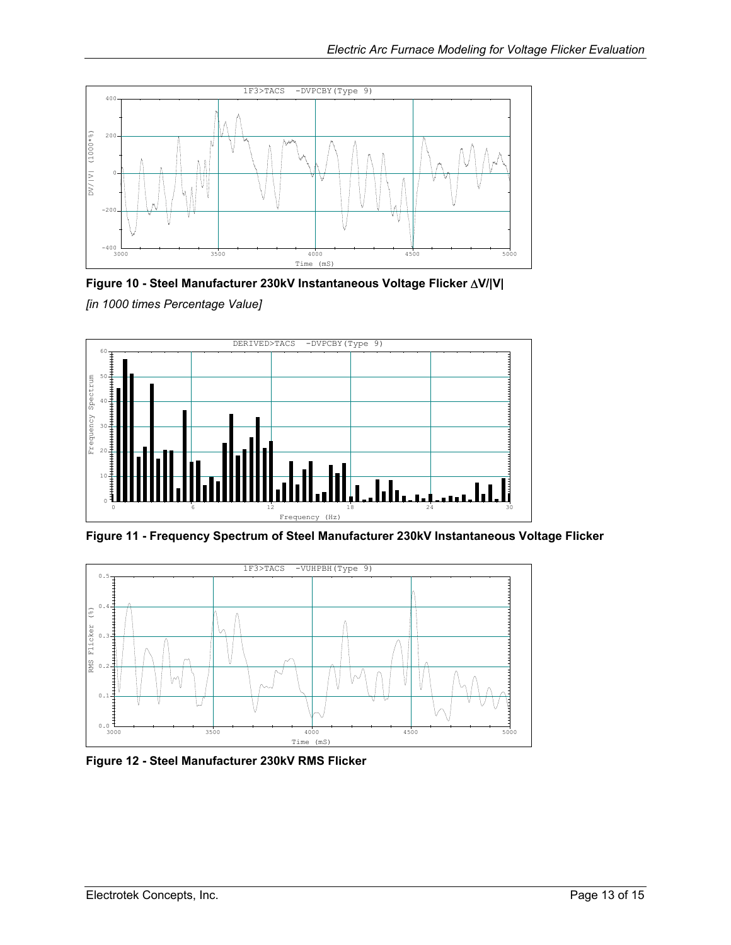<span id="page-12-0"></span>

**Figure 10 - Steel Manufacturer 230kV Instantaneous Voltage Flicker** ∆**V/|V|**  *[in 1000 times Percentage Value]* 



**Figure 11 - Frequency Spectrum of Steel Manufacturer 230kV Instantaneous Voltage Flicker** 



**Figure 12 - Steel Manufacturer 230kV RMS Flicker**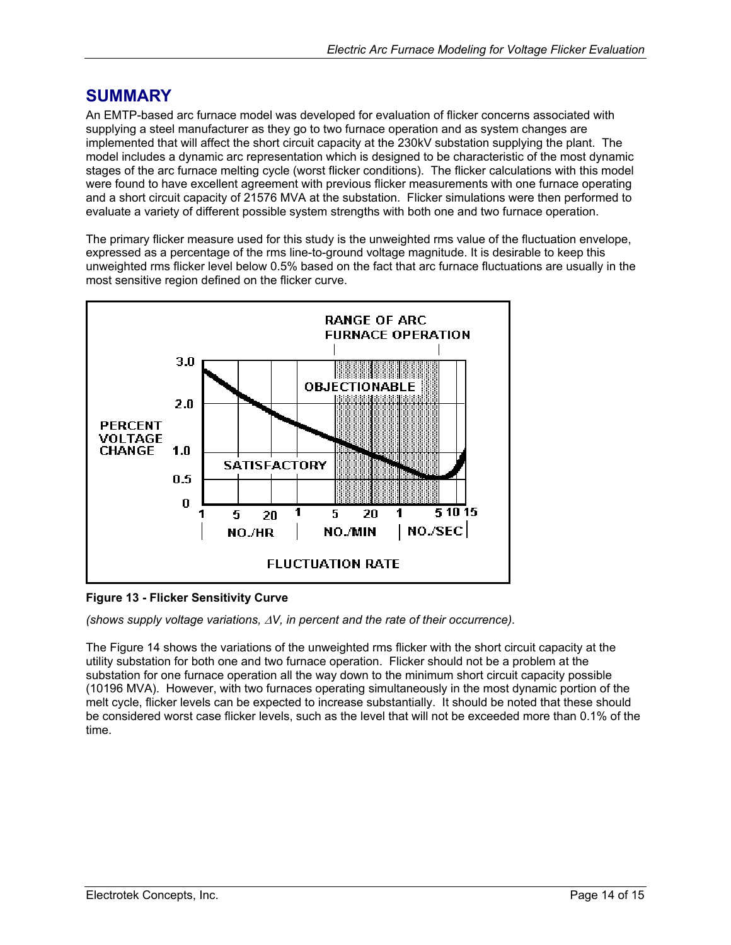# <span id="page-13-0"></span>**SUMMARY**

An EMTP-based arc furnace model was developed for evaluation of flicker concerns associated with supplying a steel manufacturer as they go to two furnace operation and as system changes are implemented that will affect the short circuit capacity at the 230kV substation supplying the plant. The model includes a dynamic arc representation which is designed to be characteristic of the most dynamic stages of the arc furnace melting cycle (worst flicker conditions). The flicker calculations with this model were found to have excellent agreement with previous flicker measurements with one furnace operating and a short circuit capacity of 21576 MVA at the substation. Flicker simulations were then performed to evaluate a variety of different possible system strengths with both one and two furnace operation.

The primary flicker measure used for this study is the unweighted rms value of the fluctuation envelope, expressed as a percentage of the rms line-to-ground voltage magnitude. It is desirable to keep this unweighted rms flicker level below 0.5% based on the fact that arc furnace fluctuations are usually in the most sensitive region defined on the flicker curve.



## **Figure 13 - Flicker Sensitivity Curve**

*(shows supply voltage variations,* ∆*V, in percent and the rate of their occurrence).* 

TheFigure 14 shows the variations of the unweighted rms flicker with the short circuit capacity at the utility substation for both one and two furnace operation. Flicker should not be a problem at the substation for one furnace operation all the way down to the minimum short circuit capacity possible (10196 MVA). However, with two furnaces operating simultaneously in the most dynamic portion of the melt cycle, flicker levels can be expected to increase substantially. It should be noted that these should be considered worst case flicker levels, such as the level that will not be exceeded more than 0.1% of the time.